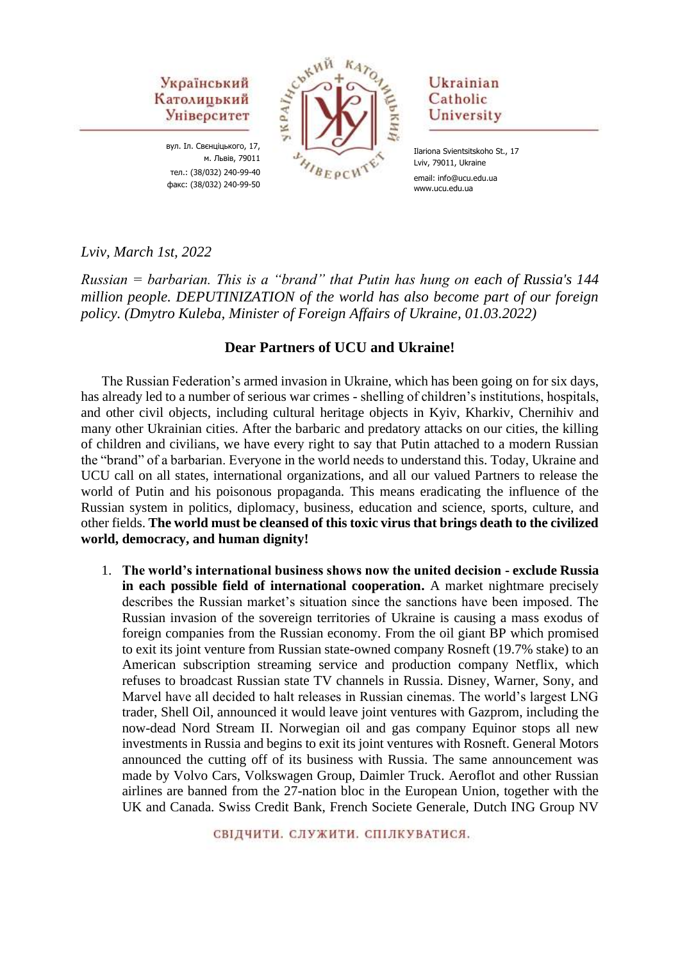> вул. Іл. Свєнціцького, 17, м. Львів, 79011 тел.: (38/032) 240-99-40 факс: (38/032) 240-99-50



Ukrainian Catholic University

Ilariona Svientsitskoho St., 17 Lviv, 79011, Ukraine email: info@ucu.edu.ua www.ucu.edu.ua

#### *Lviv, March 1st, 2022*

*Russian = barbarian. This is a "brand" that Putin has hung on each of Russia's 144 million people. DEPUTINIZATION of the world has also become part of our foreign policy. (Dmytro Kuleba, Minister of Foreign Affairs of Ukraine, 01.03.2022)*

#### **Dear Partners of UCU and Ukraine!**

The Russian Federation's armed invasion in Ukraine, which has been going on for six days, has already led to a number of serious war crimes - shelling of children's institutions, hospitals, and other civil objects, including cultural heritage objects in Kyiv, Kharkiv, Chernihiv and many other Ukrainian cities. After the barbaric and predatory attacks on our cities, the killing of children and civilians, we have every right to say that Putin attached to a modern Russian the "brand" of a barbarian. Everyone in the world needs to understand this. Today, Ukraine and UCU call on all states, international organizations, and all our valued Partners to release the world of Putin and his poisonous propaganda. This means eradicating the influence of the Russian system in politics, diplomacy, business, education and science, sports, culture, and other fields. **The world must be cleansed of this toxic virus that brings death to the civilized world, democracy, and human dignity!**

1. **The world's international business shows now the united decision - exclude Russia in each possible field of international cooperation.** A market nightmare precisely describes the Russian market's situation since the sanctions have been imposed. The Russian invasion of the sovereign territories of Ukraine is causing a mass exodus of foreign companies from the Russian economy. From the oil giant BP which promised to exit its joint venture from Russian state-owned company Rosneft (19.7% stake) to an American subscription streaming service and production company Netflix, which refuses to broadcast Russian state TV channels in Russia. Disney, Warner, Sony, and Marvel have all decided to halt releases in Russian cinemas. The world's largest LNG trader, Shell Oil, announced it would leave joint ventures with Gazprom, including the now-dead Nord Stream II. Norwegian oil and gas company Equinor stops all new investments in Russia and begins to exit its joint ventures with Rosneft. General Motors announced the cutting off of its business with Russia. The same announcement was made by Volvo Cars, Volkswagen Group, Daimler Truck. Aeroflot and other Russian airlines are banned from the 27-nation bloc in the European Union, together with the UK and Canada. Swiss Credit Bank, French Societe Generale, Dutch ING Group NV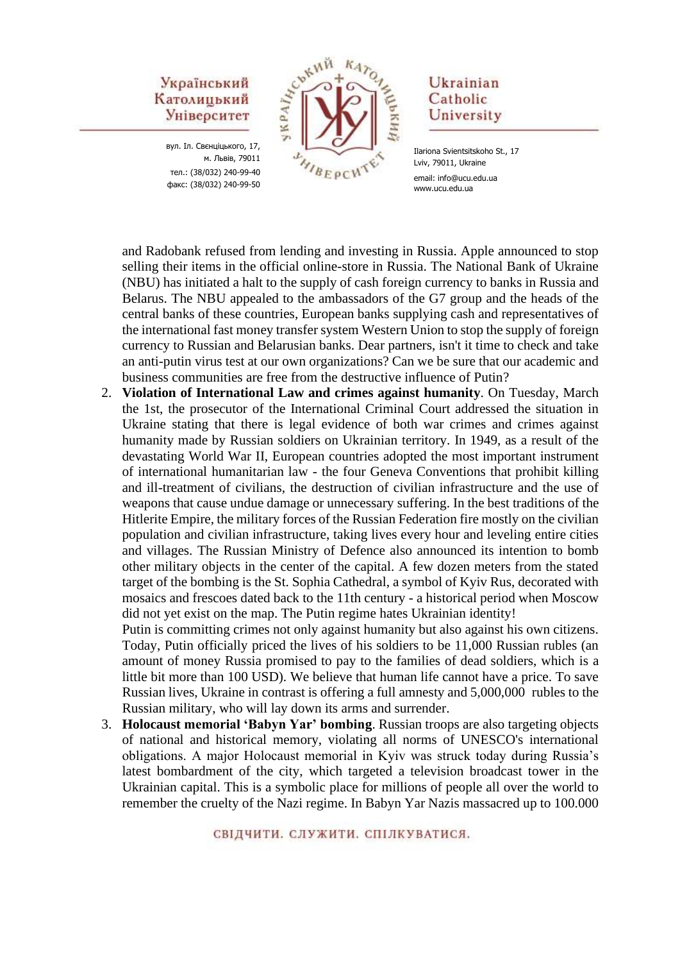вул. Іл. Свєнціцького, 17, м. Львів, 79011 тел.: (38/032) 240-99-40 факс: (38/032) 240-99-50



#### Ukrainian Catholic University

and Radobank refused from lending and investing in Russia. Apple announced to stop selling their items in the official online-store in Russia. The National Bank of Ukraine (NBU) has initiated a halt to the supply of cash foreign currency to banks in Russia and Belarus. The NBU appealed to the ambassadors of the G7 group and the heads of the central banks of these countries, European banks supplying cash and representatives of the international fast money transfer system Western Union to stop the supply of foreign currency to Russian and Belarusian banks. Dear partners, isn't it time to check and take an anti-putin virus test at our own organizations? Can we be sure that our academic and business communities are free from the destructive influence of Putin?

2. **Violation of International Law and crimes against humanity**. On Tuesday, March the 1st, the prosecutor of the International Criminal Court addressed the situation in Ukraine stating that there is legal evidence of both war crimes and crimes against humanity made by Russian soldiers on Ukrainian territory. In 1949, as a result of the devastating World War II, European countries adopted the most important instrument of international humanitarian law - the four Geneva Conventions that prohibit killing and ill-treatment of civilians, the destruction of civilian infrastructure and the use of weapons that cause undue damage or unnecessary suffering. In the best traditions of the Hitlerite Empire, the military forces of the Russian Federation fire mostly on the civilian population and civilian infrastructure, taking lives every hour and leveling entire cities and villages. The Russian Ministry of Defence also announced its intention to bomb other military objects in the center of the capital. A few dozen meters from the stated target of the bombing is the St. Sophia Cathedral, a symbol of Kyiv Rus, decorated with mosaics and frescoes dated back to the 11th century - a historical period when Moscow did not yet exist on the map. The Putin regime hates Ukrainian identity!

Putin is committing crimes not only against humanity but also against his own citizens. Today, Putin officially priced the lives of his soldiers to be 11,000 Russian rubles (an amount of money Russia promised to pay to the families of dead soldiers, which is a little bit more than 100 USD). We believe that human life cannot have a price. To save Russian lives, Ukraine in contrast is offering a full amnesty and 5,000,000 rubles to the Russian military, who will lay down its arms and surrender.

3. **Holocaust memorial 'Babyn Yar' bombing**. Russian troops are also targeting objects of national and historical memory, violating all norms of UNESCO's international obligations. A major Holocaust memorial in Kyiv was struck today during Russia's latest bombardment of the city, which targeted a television broadcast tower in the Ukrainian capital. This is a symbolic place for millions of people all over the world to remember the cruelty of the Nazi regime. In Babyn Yar Nazis massacred up to 100.000

Ilariona Svientsitskoho St., 17 Lviv, 79011, Ukraine email: info@ucu.edu.ua www.ucu.edu.ua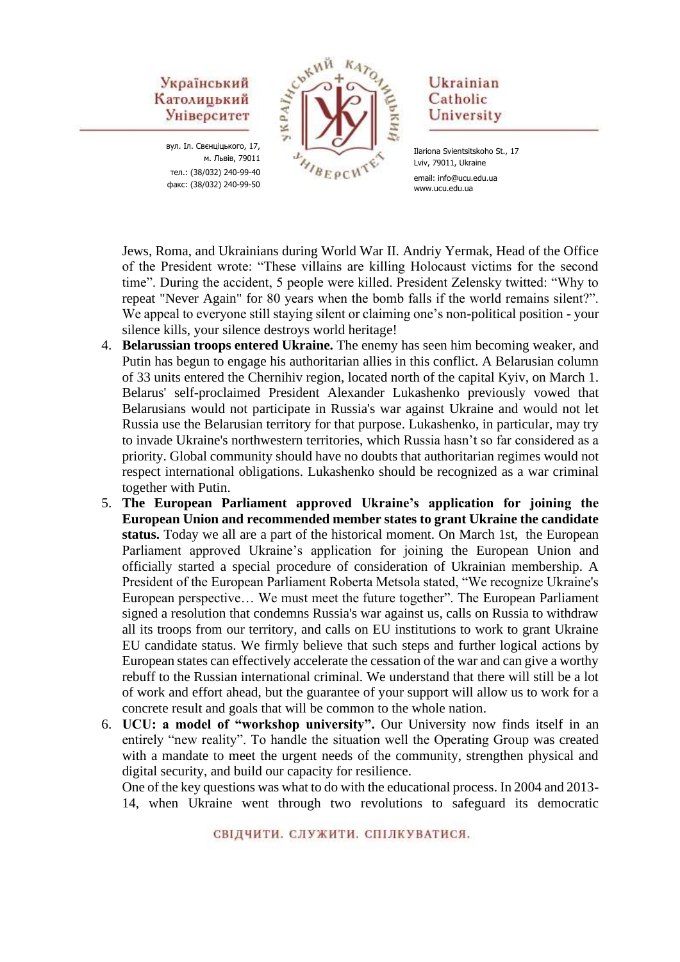вул. Іл. Свєнціцького, 17, м. Львів, 79011 тел.: (38/032) 240-99-40 факс: (38/032) 240-99-50



## Ukrainian Catholic University

Jews, Roma, and Ukrainians during World War II. Andriy Yermak, Head of the Office of the President wrote: "These villains are killing Holocaust victims for the second time". During the accident, 5 people were killed. President Zelensky twitted: "Why to repeat "Never Again" for 80 years when the bomb falls if the world remains silent?". We appeal to everyone still staying silent or claiming one's non-political position - your silence kills, your silence destroys world heritage!

- 4. **Belarussian troops entered Ukraine.** The enemy has seen him becoming weaker, and Putin has begun to engage his authoritarian allies in this conflict. A Belarusian column of 33 units entered the Chernihiv region, located north of the capital Kyiv, on March 1. Belarus' self-proclaimed President Alexander Lukashenko previously vowed that Belarusians would not participate in Russia's war against Ukraine and would not let Russia use the Belarusian territory for that purpose. Lukashenko, in particular, may try to invade Ukraine's northwestern territories, which Russia hasn't so far considered as a priority. Global community should have no doubts that authoritarian regimes would not respect international obligations. Lukashenko should be recognized as a war criminal together with Putin.
- 5. **The European Parliament approved Ukraine's application for joining the European Union and recommended member states to grant Ukraine the candidate status.** Today we all are a part of the historical moment. On March 1st, the European Parliament approved Ukraine's application for joining the European Union and officially started a special procedure of consideration of Ukrainian membership. A President of the European Parliament Roberta Metsola stated, "We recognize Ukraine's European perspective… We must meet the future together". The European Parliament signed a resolution that condemns Russia's war against us, calls on Russia to withdraw all its troops from our territory, and calls on EU institutions to work to grant Ukraine EU candidate status. We firmly believe that such steps and further logical actions by European states can effectively accelerate the cessation of the war and can give a worthy rebuff to the Russian international criminal. We understand that there will still be a lot of work and effort ahead, but the guarantee of your support will allow us to work for a concrete result and goals that will be common to the whole nation.
- 6. **UCU: a model of "workshop university".** Our University now finds itself in an entirely "new reality". To handle the situation well the Operating Group was created with a mandate to meet the urgent needs of the community, strengthen physical and digital security, and build our capacity for resilience.

One of the key questions was what to do with the educational process. In 2004 and 2013- 14, when Ukraine went through two revolutions to safeguard its democratic

Ilariona Svientsitskoho St., 17 Lviv, 79011, Ukraine email: info@ucu.edu.ua www.ucu.edu.ua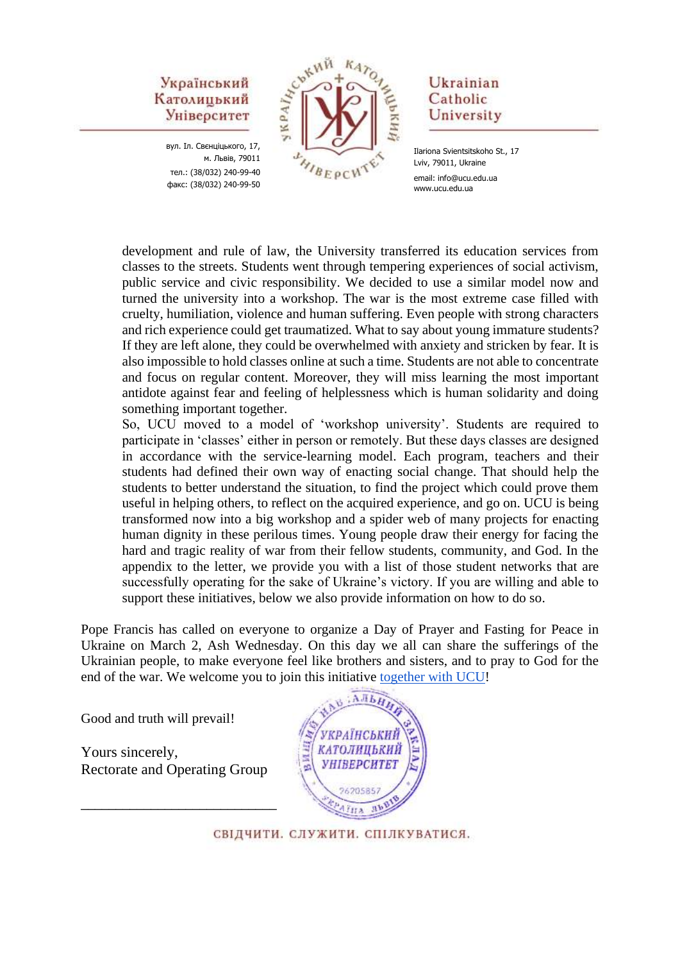вул. Іл. Свєнціцького, 17, м. Львів, 79011 тел.: (38/032) 240-99-40 факс: (38/032) 240-99-50



#### Ukrainian Catholic University

Ilariona Svientsitskoho St., 17 Lviv, 79011, Ukraine email: info@ucu.edu.ua www.ucu.edu.ua

development and rule of law, the University transferred its education services from classes to the streets. Students went through tempering experiences of social activism, public service and civic responsibility. We decided to use a similar model now and turned the university into a workshop. The war is the most extreme case filled with cruelty, humiliation, violence and human suffering. Even people with strong characters and rich experience could get traumatized. What to say about young immature students? If they are left alone, they could be overwhelmed with anxiety and stricken by fear. It is also impossible to hold classes online at such a time. Students are not able to concentrate and focus on regular content. Moreover, they will miss learning the most important antidote against fear and feeling of helplessness which is human solidarity and doing something important together.

So, UCU moved to a model of 'workshop university'. Students are required to participate in 'classes' either in person or remotely. But these days classes are designed in accordance with the service-learning model. Each program, teachers and their students had defined their own way of enacting social change. That should help the students to better understand the situation, to find the project which could prove them useful in helping others, to reflect on the acquired experience, and go on. UCU is being transformed now into a big workshop and a spider web of many projects for enacting human dignity in these perilous times. Young people draw their energy for facing the hard and tragic reality of war from their fellow students, community, and God. In the appendix to the letter, we provide you with a list of those student networks that are successfully operating for the sake of Ukraine's victory. If you are willing and able to support these initiatives, below we also provide information on how to do so.

Pope Francis has called on everyone to organize a Day of Prayer and Fasting for Peace in Ukraine on March 2, Ash Wednesday. On this day we all can share the sufferings of the Ukrainian people, to make everyone feel like brothers and sisters, and to pray to God for the end of the war. We welcome you to join this initiative [together with UCU!](https://ucu.edu.ua/en/news/vsesvitnya-molytva-za-myr-v-ukrayini/?fbclid=IwAR1lCG5gJTLGXaC0pMH93c9szx7f4ot9XQUAI2jjfcXs72qkrrzzownB3oE)

Good and truth will prevail!

Yours sincerely, Rectorate and Operating Group

\_\_\_\_\_\_\_\_\_\_\_\_\_\_\_\_\_\_\_\_\_\_\_\_\_\_\_\_

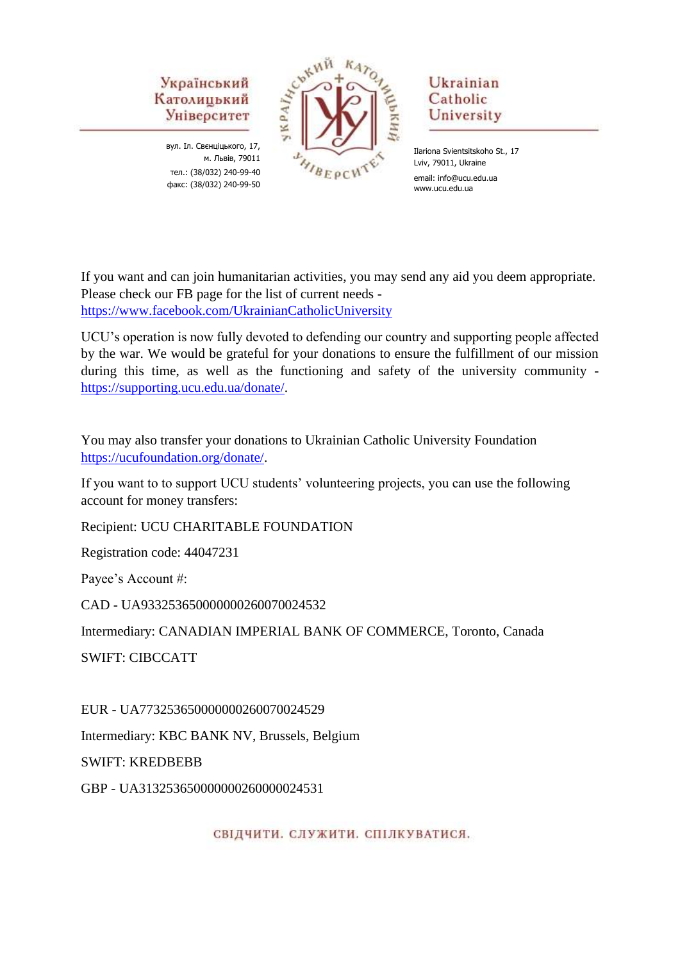вул. Іл. Свєнціцького, 17, м. Львів, 79011 тел.: (38/032) 240-99-40 факс: (38/032) 240-99-50



# Ukrainian Catholic University

Ilariona Svientsitskoho St., 17 Lviv, 79011, Ukraine email: info@ucu.edu.ua www.ucu.edu.ua

If you want and can join humanitarian activities, you may send any aid you deem appropriate. Please check our FB page for the list of current needs <https://www.facebook.com/UkrainianCatholicUniversity>

UCU's operation is now fully devoted to defending our country and supporting people affected by the war. We would be grateful for your donations to ensure the fulfillment of our mission during this time, as well as the functioning and safety of the university community [https://supporting.ucu.edu.ua/donate/.](https://supporting.ucu.edu.ua/donate/)

You may also transfer your donations to Ukrainian Catholic University Foundation [https://ucufoundation.org/donate/.](https://ucufoundation.org/donate/)

If you want to to support UCU students' volunteering projects, you can use the following account for money transfers:

Recipient: UCU CHARITABLE FOUNDATION

Registration code: 44047231

Payee's Account #:

CAD - UA933253650000000260070024532

Intermediary: CANADIAN IMPERIAL BANK OF COMMERCE, Toronto, Canada

SWIFT: CIBCCATT

EUR - UA773253650000000260070024529

Intermediary: KBC BANK NV, Brussels, Belgium

SWIFT: KREDBEBB

GBP - UA313253650000000260000024531